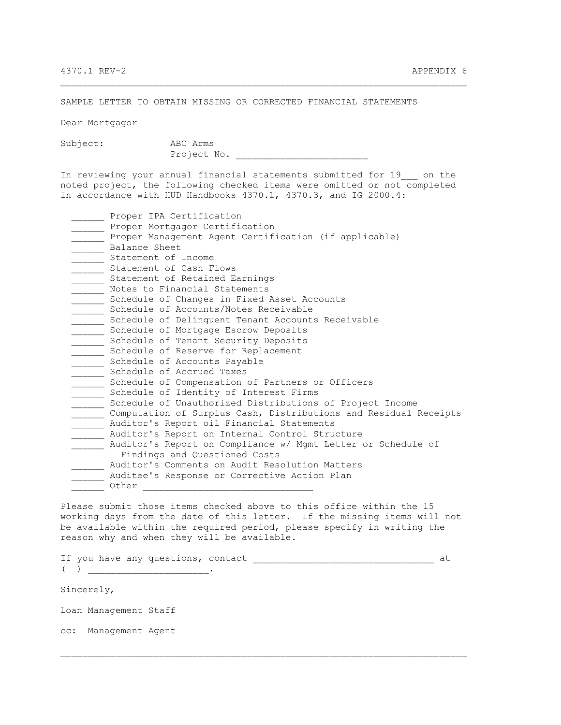SAMPLE LETTER TO OBTAIN MISSING OR CORRECTED FINANCIAL STATEMENTS

Dear Mortgagor

Subject: ABC Arms

Project No.

In reviewing your annual financial statements submitted for 19 con the noted project, the following checked items were omitted or not completed in accordance with HUD Handbooks 4370.1, 4370.3, and IG 2000.4:

\_\_\_\_\_\_\_\_\_\_\_\_\_\_\_\_\_\_\_\_\_\_\_\_\_\_\_\_\_\_\_\_\_\_\_\_\_\_\_\_\_\_\_\_\_\_\_\_\_\_\_\_\_\_\_\_\_\_\_\_\_\_\_\_\_\_\_\_\_\_\_\_\_\_

| Proper IPA Certification                                         |
|------------------------------------------------------------------|
| Proper Mortgagor Certification                                   |
| Proper Management Agent Certification (if applicable)            |
| Balance Sheet                                                    |
| Statement of Income                                              |
| Statement of Cash Flows                                          |
| Statement of Retained Earnings                                   |
| Notes to Financial Statements                                    |
| Schedule of Changes in Fixed Asset Accounts                      |
| Schedule of Accounts/Notes Receivable                            |
| Schedule of Delinquent Tenant Accounts Receivable                |
| Schedule of Mortgage Escrow Deposits                             |
| Schedule of Tenant Security Deposits                             |
| Schedule of Reserve for Replacement                              |
| Schedule of Accounts Payable                                     |
| Schedule of Accrued Taxes                                        |
| Schedule of Compensation of Partners or Officers                 |
| Schedule of Identity of Interest Firms                           |
| Schedule of Unauthorized Distributions of Project Income         |
| Computation of Surplus Cash, Distributions and Residual Receipts |
| Auditor's Report oil Financial Statements                        |
| Auditor's Report on Internal Control Structure                   |
| Auditor's Report on Compliance w/ Mgmt Letter or Schedule of     |
| Findings and Questioned Costs                                    |
| Auditor's Comments on Audit Resolution Matters                   |
| Auditee's Response or Corrective Action Plan                     |
| Other                                                            |
|                                                                  |

Please submit those items checked above to this office within the 15 working days from the date of this letter. If the missing items will not be available within the required period, please specify in writing the reason why and when they will be available.

If you have any questions, contact  $\qquad \qquad$  at  $($   $)$   $)$ 

\_\_\_\_\_\_\_\_\_\_\_\_\_\_\_\_\_\_\_\_\_\_\_\_\_\_\_\_\_\_\_\_\_\_\_\_\_\_\_\_\_\_\_\_\_\_\_\_\_\_\_\_\_\_\_\_\_\_\_\_\_\_\_\_\_\_\_\_\_\_\_\_\_\_

Sincerely,

Loan Management Staff

cc: Management Agent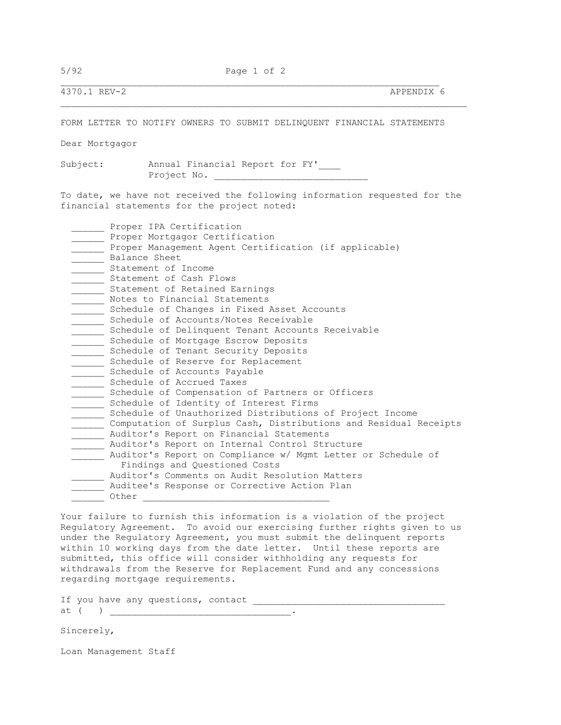5/92 Page 1 of 2

\_\_\_\_\_\_\_\_\_\_\_\_\_\_\_\_\_\_\_\_\_\_\_\_\_\_\_\_\_\_\_\_\_\_\_\_\_\_\_\_\_\_\_\_\_\_\_\_\_\_\_\_\_\_\_\_\_\_\_\_\_\_\_\_\_\_\_\_\_

4370.1 REV-2 APPENDIX 6

FORM LETTER TO NOTIFY OWNERS TO SUBMIT DELINQUENT FINANCIAL STATEMENTS

Dear Mortgagor

Subject: Annual Financial Report for FY'\_\_\_\_ Project No. \_\_\_\_\_\_\_\_\_\_\_\_\_\_\_\_\_\_\_\_\_\_\_\_\_\_\_\_

To date, we have not received the following information requested for the financial statements for the project noted:

| Proper IPA Certification                                         |
|------------------------------------------------------------------|
| Proper Mortgagor Certification                                   |
| Proper Management Agent Certification (if applicable)            |
| Balance Sheet                                                    |
| Statement of Income                                              |
| Statement of Cash Flows                                          |
| Statement of Retained Earnings                                   |
| Notes to Financial Statements                                    |
| Schedule of Changes in Fixed Asset Accounts                      |
| Schedule of Accounts/Notes Receivable                            |
| Schedule of Delinquent Tenant Accounts Receivable                |
| Schedule of Mortgage Escrow Deposits                             |
| Schedule of Tenant Security Deposits                             |
| Schedule of Reserve for Replacement                              |
| Schedule of Accounts Payable                                     |
| Schedule of Accrued Taxes                                        |
| Schedule of Compensation of Partners or Officers                 |
| Schedule of Identity of Interest Firms                           |
| Schedule of Unauthorized Distributions of Project Income         |
| Computation of Surplus Cash, Distributions and Residual Receipts |
| Auditor's Report on Financial Statements                         |
| Auditor's Report on Internal Control Structure                   |
| Auditor's Report on Compliance w/ Mgmt Letter or Schedule of     |
| Findings and Questioned Costs                                    |
| Auditor's Comments on Audit Resolution Matters                   |
| Auditee's Response or Corrective Action Plan                     |
| Other                                                            |

Your failure to furnish this information is a violation of the project Regulatory Agreement. To avoid our exercising further rights given to us under the Regulatory Agreement, you must submit the delinquent reports within 10 working days from the date letter. Until these reports are submitted, this office will consider withholding any requests for withdrawals from the Reserve for Replacement Fund and any concessions regarding mortgage requirements.

If you have any questions, contact \_\_\_\_\_\_\_\_\_\_\_\_\_\_\_\_\_\_\_\_\_\_\_\_\_\_\_\_\_\_\_\_\_\_\_ at ( ) \_\_\_\_\_\_\_\_\_\_\_\_\_\_\_\_\_\_\_\_\_\_\_\_\_\_\_\_\_\_\_\_\_.

Sincerely,

Loan Management Staff